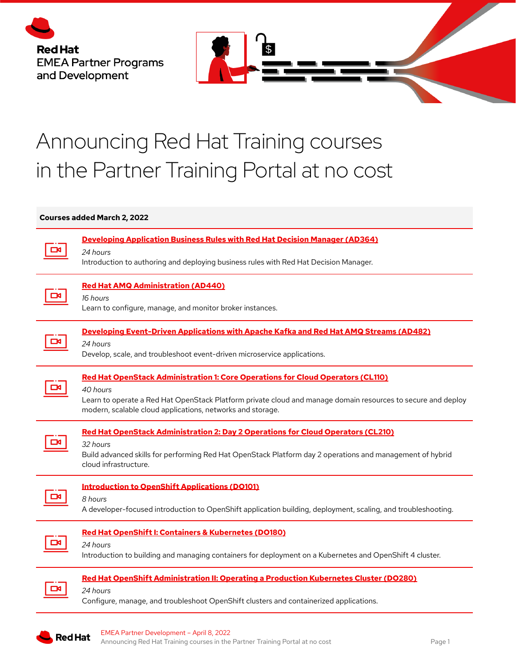



## Announcing Red Hat Training courses in the Partner Training Portal at no cost

## **Courses added March 2, 2022**

| <b>Developing Application Business Rules with Red Hat Decision Manager (AD364)</b><br>24 hours<br>Introduction to authoring and deploying business rules with Red Hat Decision Manager.                                                                                          |
|----------------------------------------------------------------------------------------------------------------------------------------------------------------------------------------------------------------------------------------------------------------------------------|
| <b>Red Hat AMQ Administration (AD440)</b><br>16 hours<br>Learn to configure, manage, and monitor broker instances.                                                                                                                                                               |
| Developing Event-Driven Applications with Apache Kafka and Red Hat AMQ Streams (AD482)<br>24 hours<br>Develop, scale, and troubleshoot event-driven microservice applications.                                                                                                   |
| <b>Red Hat OpenStack Administration 1: Core Operations for Cloud Operators (CL110)</b><br>40 hours<br>Learn to operate a Red Hat OpenStack Platform private cloud and manage domain resources to secure and deploy<br>modern, scalable cloud applications, networks and storage. |
|                                                                                                                                                                                                                                                                                  |
| <b>Red Hat OpenStack Administration 2: Day 2 Operations for Cloud Operators (CL210)</b><br>32 hours<br>Build advanced skills for performing Red Hat OpenStack Platform day 2 operations and management of hybrid<br>cloud infrastructure.                                        |
| <b>Introduction to OpenShift Applications (DO101)</b><br>8 hours<br>A developer-focused introduction to OpenShift application building, deployment, scaling, and troubleshooting.                                                                                                |
| Red Hat OpenShift I: Containers & Kubernetes (DO180)<br>24 hours<br>Introduction to building and managing containers for deployment on a Kubernetes and OpenShift 4 cluster.                                                                                                     |
| Red Hat OpenShift Administration II: Operating a Production Kubernetes Cluster (DO280)<br>24 hours<br>Configure, manage, and troubleshoot OpenShift clusters and containerized applications.                                                                                     |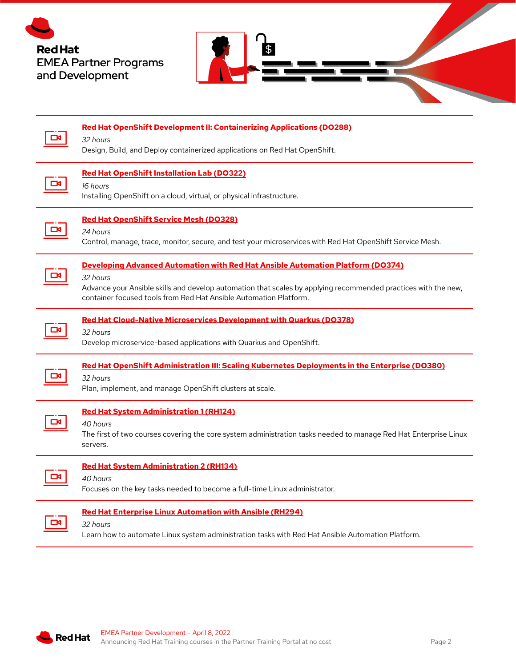



|   | <b>Red Hat OpenShift Development II: Containerizing Applications (DO288)</b><br>32 hours<br>Design, Build, and Deploy containerized applications on Red Hat OpenShift.                                                                                                             |
|---|------------------------------------------------------------------------------------------------------------------------------------------------------------------------------------------------------------------------------------------------------------------------------------|
|   | <b>Red Hat OpenShift Installation Lab (DO322)</b><br>16 hours<br>Installing OpenShift on a cloud, virtual, or physical infrastructure.                                                                                                                                             |
|   | <b>Red Hat OpenShift Service Mesh (DO328)</b><br>24 hours<br>Control, manage, trace, monitor, secure, and test your microservices with Red Hat OpenShift Service Mesh.                                                                                                             |
|   | Developing Advanced Automation with Red Hat Ansible Automation Platform (DO374)<br>32 hours<br>Advance your Ansible skills and develop automation that scales by applying recommended practices with the new,<br>container focused tools from Red Hat Ansible Automation Platform. |
|   | Red Hat Cloud-Native Microservices Development with Quarkus (DO378)<br>32 hours<br>Develop microservice-based applications with Quarkus and OpenShift.                                                                                                                             |
|   | Red Hat OpenShift Administration III: Scaling Kubernetes Deployments in the Enterprise (DO380)<br>32 hours<br>Plan, implement, and manage OpenShift clusters at scale.                                                                                                             |
|   | <b>Red Hat System Administration 1 (RH124)</b><br>40 hours<br>The first of two courses covering the core system administration tasks needed to manage Red Hat Enterprise Linux<br>servers.                                                                                         |
|   | <b>Red Hat System Administration 2 (RH134)</b><br>40 hours<br>Focuses on the key tasks needed to become a full-time Linux administrator.                                                                                                                                           |
| ط | Red Hat Enterprise Linux Automation with Ansible (RH294)<br>32 hours                                                                                                                                                                                                               |

Learn how to automate Linux system administration tasks with Red Hat Ansible Automation Platform.